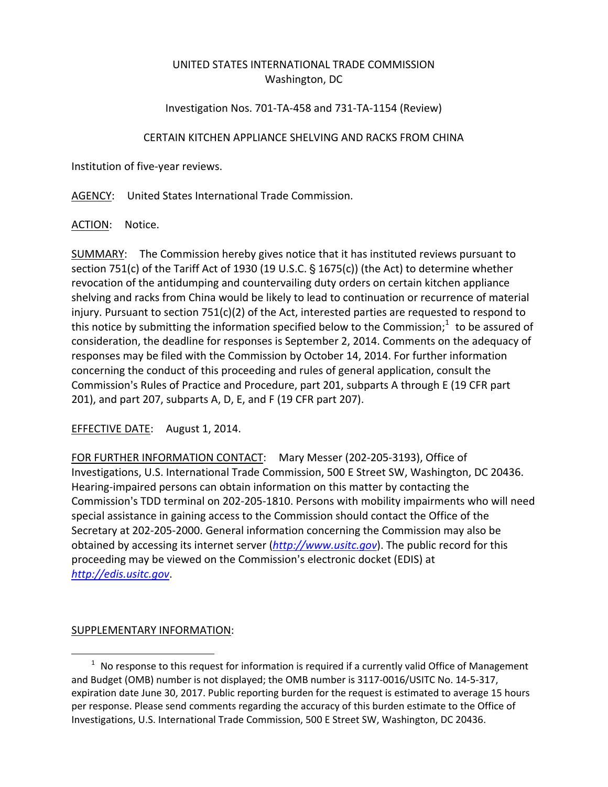## UNITED STATES INTERNATIONAL TRADE COMMISSION Washington, DC

## Investigation Nos. 701‐TA‐458 and 731‐TA‐1154 (Review)

## CERTAIN KITCHEN APPLIANCE SHELVING AND RACKS FROM CHINA

Institution of five‐year reviews.

AGENCY: United States International Trade Commission.

ACTION: Notice.

SUMMARY: The Commission hereby gives notice that it has instituted reviews pursuant to section 751(c) of the Tariff Act of 1930 (19 U.S.C.  $\S$  1675(c)) (the Act) to determine whether revocation of the antidumping and countervailing duty orders on certain kitchen appliance shelving and racks from China would be likely to lead to continuation or recurrence of material injury. Pursuant to section 751(c)(2) of the Act, interested parties are requested to respond to this notice by submitting the information specified below to the Commission; $<sup>1</sup>$  to be assured of</sup> consideration, the deadline for responses is September 2, 2014. Comments on the adequacy of responses may be filed with the Commission by October 14, 2014. For further information concerning the conduct of this proceeding and rules of general application, consult the Commission's Rules of Practice and Procedure, part 201, subparts A through E (19 CFR part 201), and part 207, subparts A, D, E, and F (19 CFR part 207).

EFFECTIVE DATE: August 1, 2014.

FOR FURTHER INFORMATION CONTACT: Mary Messer (202‐205‐3193), Office of Investigations, U.S. International Trade Commission, 500 E Street SW, Washington, DC 20436. Hearing‐impaired persons can obtain information on this matter by contacting the Commission's TDD terminal on 202-205-1810. Persons with mobility impairments who will need special assistance in gaining access to the Commission should contact the Office of the Secretary at 202‐205‐2000. General information concerning the Commission may also be obtained by accessing its internet server (*http://www.usitc.gov*). The public record for this proceeding may be viewed on the Commission's electronic docket (EDIS) at *http://edis.usitc.gov*.

## SUPPLEMENTARY INFORMATION:

 $\overline{a}$ 

 $1$  No response to this request for information is required if a currently valid Office of Management and Budget (OMB) number is not displayed; the OMB number is 3117‐0016/USITC No. 14‐5‐317, expiration date June 30, 2017. Public reporting burden for the request is estimated to average 15 hours per response. Please send comments regarding the accuracy of this burden estimate to the Office of Investigations, U.S. International Trade Commission, 500 E Street SW, Washington, DC 20436.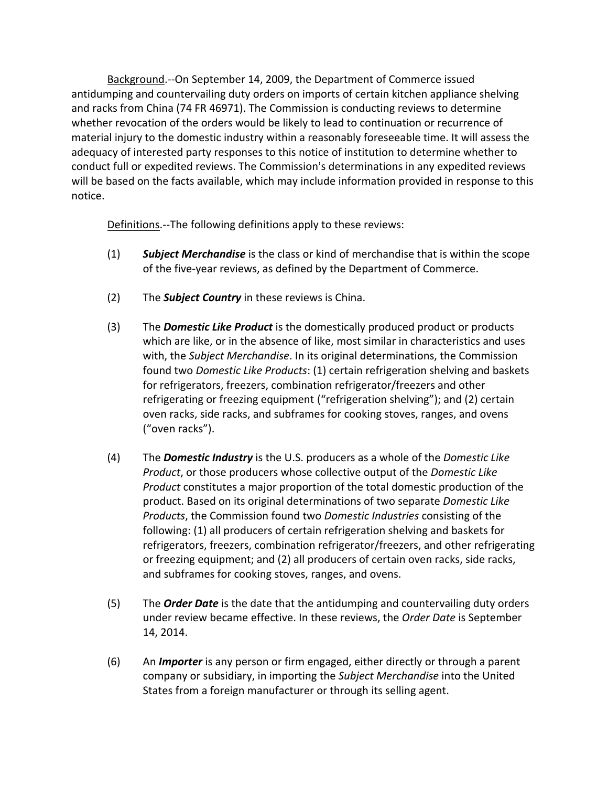Background.--On September 14, 2009, the Department of Commerce issued antidumping and countervailing duty orders on imports of certain kitchen appliance shelving and racks from China (74 FR 46971). The Commission is conducting reviews to determine whether revocation of the orders would be likely to lead to continuation or recurrence of material injury to the domestic industry within a reasonably foreseeable time. It will assess the adequacy of interested party responses to this notice of institution to determine whether to conduct full or expedited reviews. The Commission's determinations in any expedited reviews will be based on the facts available, which may include information provided in response to this notice.

Definitions.—The following definitions apply to these reviews:

- (1) *Subject Merchandise* is the class or kind of merchandise that is within the scope of the five‐year reviews, as defined by the Department of Commerce.
- (2) The *Subject Country* in these reviews is China.
- (3) The *Domestic Like Product* is the domestically produced product or products which are like, or in the absence of like, most similar in characteristics and uses with, the *Subject Merchandise*. In its original determinations, the Commission found two *Domestic Like Products*: (1) certain refrigeration shelving and baskets for refrigerators, freezers, combination refrigerator/freezers and other refrigerating or freezing equipment ("refrigeration shelving"); and (2) certain oven racks, side racks, and subframes for cooking stoves, ranges, and ovens ("oven racks").
- (4) The *Domestic Industry* is the U.S. producers as a whole of the *Domestic Like Product*, or those producers whose collective output of the *Domestic Like Product* constitutes a major proportion of the total domestic production of the product. Based on its original determinations of two separate *Domestic Like Products*, the Commission found two *Domestic Industries* consisting of the following: (1) all producers of certain refrigeration shelving and baskets for refrigerators, freezers, combination refrigerator/freezers, and other refrigerating or freezing equipment; and (2) all producers of certain oven racks, side racks, and subframes for cooking stoves, ranges, and ovens.
- (5) The *Order Date* is the date that the antidumping and countervailing duty orders under review became effective. In these reviews, the *Order Date* is September 14, 2014.
- (6) An *Importer* is any person or firm engaged, either directly or through a parent company or subsidiary, in importing the *Subject Merchandise* into the United States from a foreign manufacturer or through its selling agent.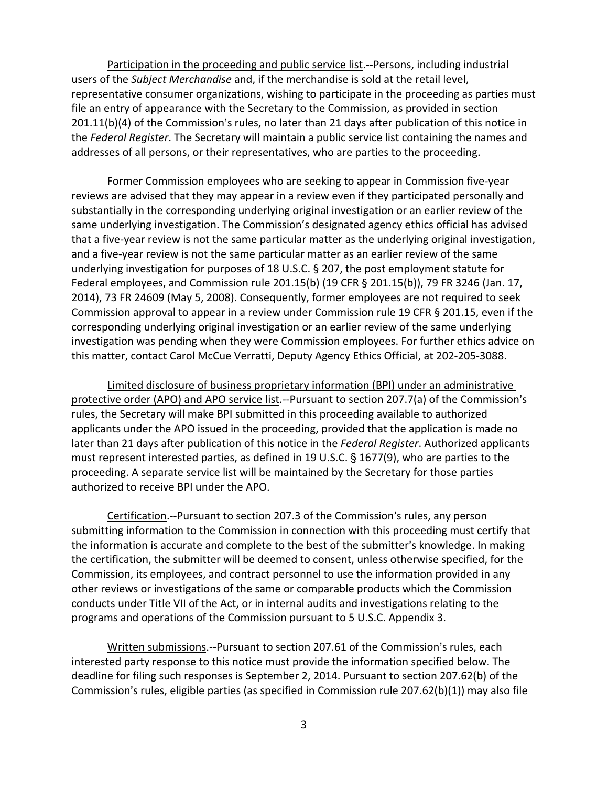Participation in the proceeding and public service list.--Persons, including industrial users of the *Subject Merchandise* and, if the merchandise is sold at the retail level, representative consumer organizations, wishing to participate in the proceeding as parties must file an entry of appearance with the Secretary to the Commission, as provided in section  $201.11(b)(4)$  of the Commission's rules, no later than 21 days after publication of this notice in the *Federal Register*. The Secretary will maintain a public service list containing the names and addresses of all persons, or their representatives, who are parties to the proceeding.

Former Commission employees who are seeking to appear in Commission five‐year reviews are advised that they may appear in a review even if they participated personally and substantially in the corresponding underlying original investigation or an earlier review of the same underlying investigation. The Commission's designated agency ethics official has advised that a five‐year review is not the same particular matter as the underlying original investigation, and a five‐year review is not the same particular matter as an earlier review of the same underlying investigation for purposes of 18 U.S.C. § 207, the post employment statute for Federal employees, and Commission rule 201.15(b) (19 CFR § 201.15(b)), 79 FR 3246 (Jan. 17, 2014), 73 FR 24609 (May 5, 2008). Consequently, former employees are not required to seek Commission approval to appear in a review under Commission rule 19 CFR § 201.15, even if the corresponding underlying original investigation or an earlier review of the same underlying investigation was pending when they were Commission employees. For further ethics advice on this matter, contact Carol McCue Verratti, Deputy Agency Ethics Official, at 202‐205‐3088.

Limited disclosure of business proprietary information (BPI) under an administrative protective order (APO) and APO service list.--Pursuant to section 207.7(a) of the Commission's rules, the Secretary will make BPI submitted in this proceeding available to authorized applicants under the APO issued in the proceeding, provided that the application is made no later than 21 days after publication of this notice in the *Federal Register*. Authorized applicants must represent interested parties, as defined in 19 U.S.C.  $\S$  1677(9), who are parties to the proceeding. A separate service list will be maintained by the Secretary for those parties authorized to receive BPI under the APO.

Certification.--Pursuant to section 207.3 of the Commission's rules, any person submitting information to the Commission in connection with this proceeding must certify that the information is accurate and complete to the best of the submitter's knowledge. In making the certification, the submitter will be deemed to consent, unless otherwise specified, for the Commission, its employees, and contract personnel to use the information provided in any other reviews or investigations of the same or comparable products which the Commission conducts under Title VII of the Act, or in internal audits and investigations relating to the programs and operations of the Commission pursuant to 5 U.S.C. Appendix 3.

Written submissions.--Pursuant to section 207.61 of the Commission's rules, each interested party response to this notice must provide the information specified below. The deadline for filing such responses is September 2, 2014. Pursuant to section 207.62(b) of the Commission's rules, eligible parties (as specified in Commission rule 207.62(b)(1)) may also file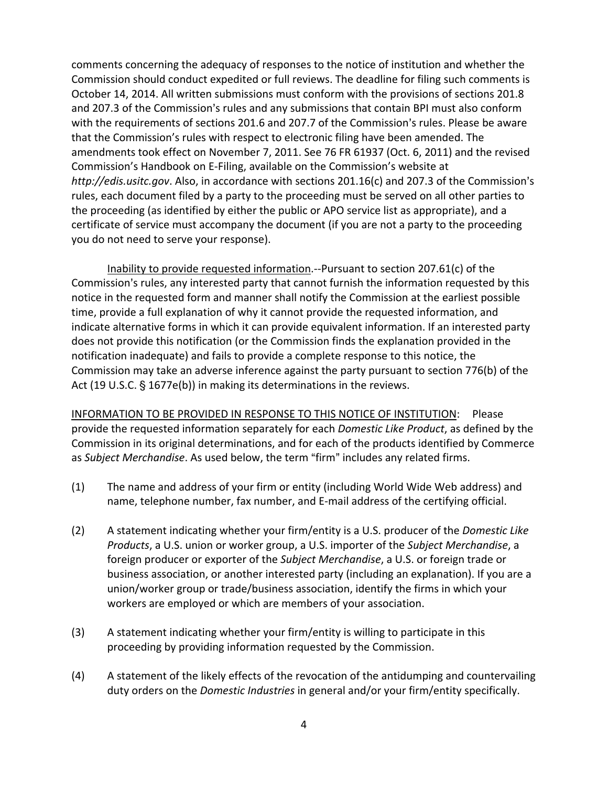comments concerning the adequacy of responses to the notice of institution and whether the Commission should conduct expedited or full reviews. The deadline for filing such comments is October 14, 2014. All written submissions must conform with the provisions of sections 201.8 and 207.3 of the Commission's rules and any submissions that contain BPI must also conform with the requirements of sections 201.6 and 207.7 of the Commission's rules. Please be aware that the Commission's rules with respect to electronic filing have been amended. The amendments took effect on November 7, 2011. See 76 FR 61937 (Oct. 6, 2011) and the revised Commission's Handbook on E‐Filing, available on the Commission's website at *http://edis.usitc.gov. Also, in accordance with sections 201.16(c) and 207.3 of the Commission's* rules, each document filed by a party to the proceeding must be served on all other parties to the proceeding (as identified by either the public or APO service list as appropriate), and a certificate of service must accompany the document (if you are not a party to the proceeding you do not need to serve your response).

Inability to provide requested information. -- Pursuant to section 207.61(c) of the Commission's rules, any interested party that cannot furnish the information requested by this notice in the requested form and manner shall notify the Commission at the earliest possible time, provide a full explanation of why it cannot provide the requested information, and indicate alternative forms in which it can provide equivalent information. If an interested party does not provide this notification (or the Commission finds the explanation provided in the notification inadequate) and fails to provide a complete response to this notice, the Commission may take an adverse inference against the party pursuant to section 776(b) of the Act (19 U.S.C.  $\S$  1677e(b)) in making its determinations in the reviews.

INFORMATION TO BE PROVIDED IN RESPONSE TO THIS NOTICE OF INSTITUTION: Please provide the requested information separately for each *Domestic Like Product*, as defined by the Commission in its original determinations, and for each of the products identified by Commerce as Subject Merchandise. As used below, the term "firm" includes any related firms.

- (1) The name and address of your firm or entity (including World Wide Web address) and name, telephone number, fax number, and E‐mail address of the certifying official.
- (2) A statement indicating whether your firm/entity is a U.S. producer of the *Domestic Like Products*, a U.S. union or worker group, a U.S. importer of the *Subject Merchandise*, a foreign producer or exporter of the *Subject Merchandise*, a U.S. or foreign trade or business association, or another interested party (including an explanation). If you are a union/worker group or trade/business association, identify the firms in which your workers are employed or which are members of your association.
- (3) A statement indicating whether your firm/entity is willing to participate in this proceeding by providing information requested by the Commission.
- (4) A statement of the likely effects of the revocation of the antidumping and countervailing duty orders on the *Domestic Industries* in general and/or your firm/entity specifically.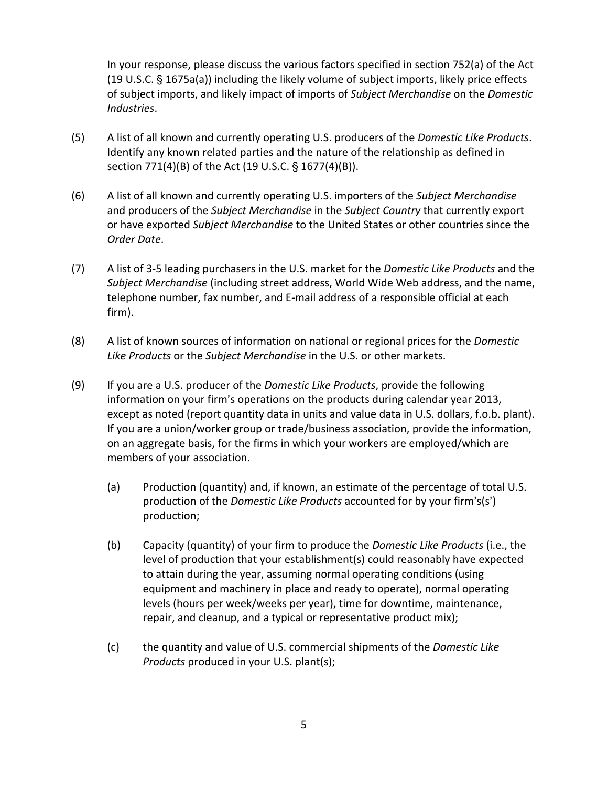In your response, please discuss the various factors specified in section 752(a) of the Act  $(19 \text{ U.S.C. } § 1675a(a))$  including the likely volume of subject imports, likely price effects of subject imports, and likely impact of imports of *Subject Merchandise* on the *Domestic Industries*.

- (5) A list of all known and currently operating U.S. producers of the *Domestic Like Products*. Identify any known related parties and the nature of the relationship as defined in section 771(4)(B) of the Act (19 U.S.C. § 1677(4)(B)).
- (6) A list of all known and currently operating U.S. importers of the *Subject Merchandise* and producers of the *Subject Merchandise* in the *Subject Country* that currently export or have exported *Subject Merchandise* to the United States or other countries since the *Order Date*.
- (7) A list of 3‐5 leading purchasers in the U.S. market for the *Domestic Like Products* and the *Subject Merchandise* (including street address, World Wide Web address, and the name, telephone number, fax number, and E‐mail address of a responsible official at each firm).
- (8) A list of known sources of information on national or regional prices for the *Domestic Like Products* or the *Subject Merchandise* in the U.S. or other markets.
- (9) If you are a U.S. producer of the *Domestic Like Products*, provide the following information on your firm's operations on the products during calendar year 2013, except as noted (report quantity data in units and value data in U.S. dollars, f.o.b. plant). If you are a union/worker group or trade/business association, provide the information, on an aggregate basis, for the firms in which your workers are employed/which are members of your association.
	- (a) Production (quantity) and, if known, an estimate of the percentage of total U.S. production of the *Domestic Like Products* accounted for by your firm's(s') production;
	- (b) Capacity (quantity) of your firm to produce the *Domestic Like Products* (i.e., the level of production that your establishment(s) could reasonably have expected to attain during the year, assuming normal operating conditions (using equipment and machinery in place and ready to operate), normal operating levels (hours per week/weeks per year), time for downtime, maintenance, repair, and cleanup, and a typical or representative product mix);
	- (c) the quantity and value of U.S. commercial shipments of the *Domestic Like Products* produced in your U.S. plant(s);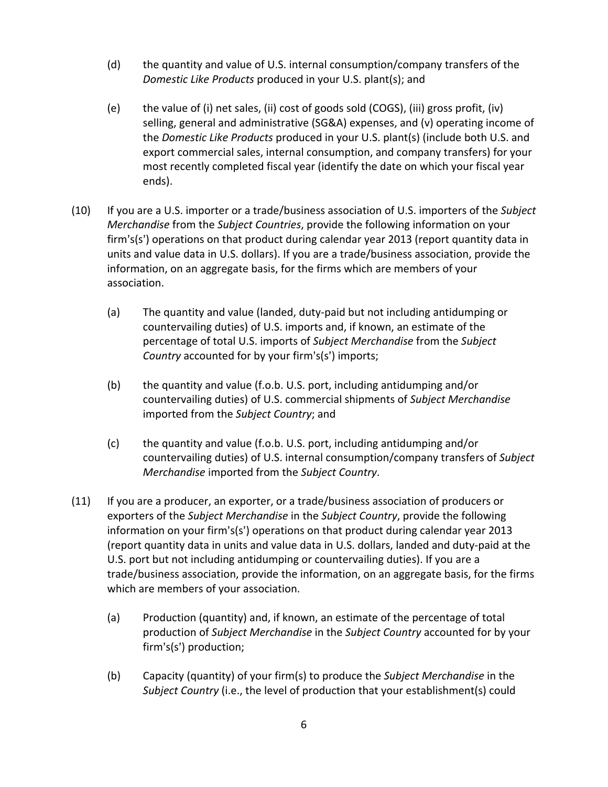- (d) the quantity and value of U.S. internal consumption/company transfers of the *Domestic Like Products* produced in your U.S. plant(s); and
- (e) the value of (i) net sales, (ii) cost of goods sold (COGS), (iii) gross profit, (iv) selling, general and administrative (SG&A) expenses, and (v) operating income of the *Domestic Like Products* produced in your U.S. plant(s) (include both U.S. and export commercial sales, internal consumption, and company transfers) for your most recently completed fiscal year (identify the date on which your fiscal year ends).
- (10) If you are a U.S. importer or a trade/business association of U.S. importers of the *Subject Merchandise* from the *Subject Countries*, provide the following information on your firm's(s') operations on that product during calendar year 2013 (report quantity data in units and value data in U.S. dollars). If you are a trade/business association, provide the information, on an aggregate basis, for the firms which are members of your association.
	- (a) The quantity and value (landed, duty‐paid but not including antidumping or countervailing duties) of U.S. imports and, if known, an estimate of the percentage of total U.S. imports of *Subject Merchandise* from the *Subject Country* accounted for by your firm's(s') imports;
	- (b) the quantity and value (f.o.b. U.S. port, including antidumping and/or countervailing duties) of U.S. commercial shipments of *Subject Merchandise* imported from the *Subject Country*; and
	- (c) the quantity and value (f.o.b. U.S. port, including antidumping and/or countervailing duties) of U.S. internal consumption/company transfers of *Subject Merchandise* imported from the *Subject Country*.
- (11) If you are a producer, an exporter, or a trade/business association of producers or exporters of the *Subject Merchandise* in the *Subject Country*, provide the following information on your firm's(s') operations on that product during calendar year 2013 (report quantity data in units and value data in U.S. dollars, landed and duty‐paid at the U.S. port but not including antidumping or countervailing duties). If you are a trade/business association, provide the information, on an aggregate basis, for the firms which are members of your association.
	- (a) Production (quantity) and, if known, an estimate of the percentage of total production of *Subject Merchandise* in the *Subject Country* accounted for by your firm's(s') production;
	- (b) Capacity (quantity) of your firm(s) to produce the *Subject Merchandise* in the *Subject Country* (i.e., the level of production that your establishment(s) could